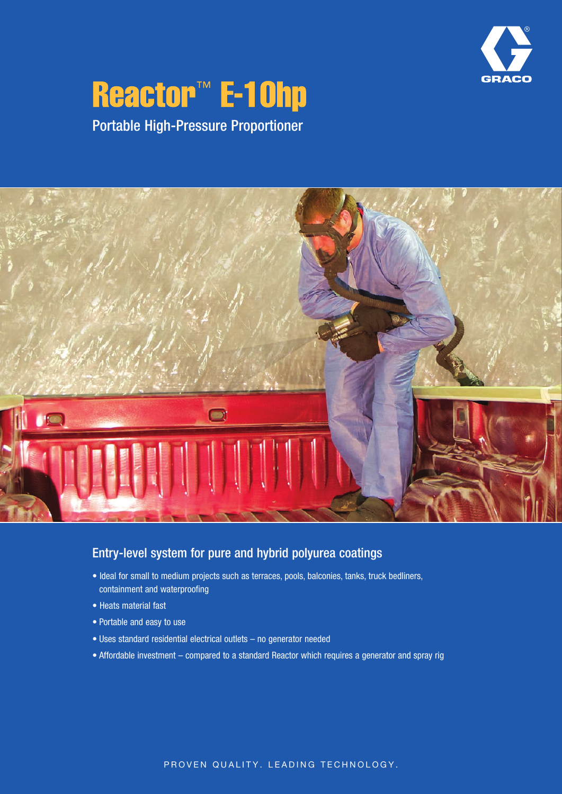

# **Reactor™ E-10hp** Portable High-Pressure Proportioner

 $\blacksquare$ IO

### Entry-level system for pure and hybrid polyurea coatings

- Ideal for small to medium projects such as terraces, pools, balconies, tanks, truck bedliners, containment and waterproofing
- Heats material fast
- Portable and easy to use
- Uses standard residential electrical outlets no generator needed
- Affordable investment compared to a standard Reactor which requires a generator and spray rig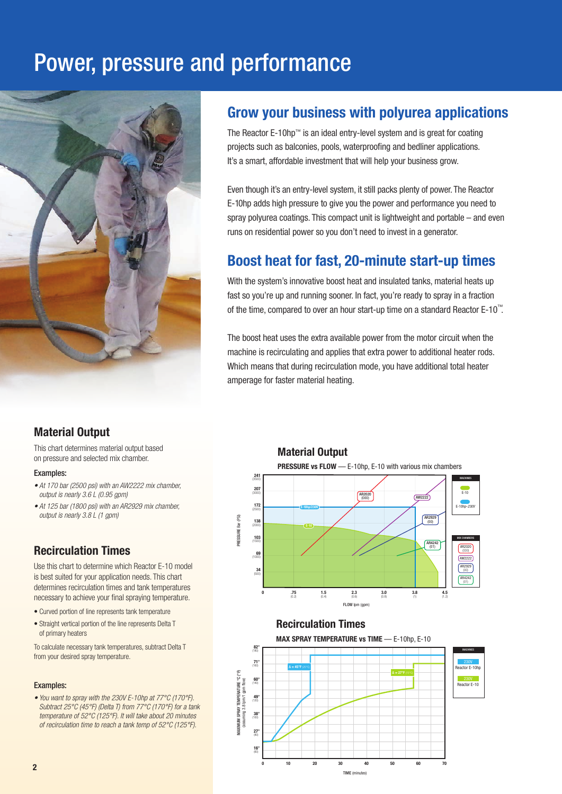## Power, pressure and performance



### Grow your business with polyurea applications

The Reactor E-10hp™ is an ideal entry-level system and is great for coating projects such as balconies, pools, waterproofing and bedliner applications. It's a smart, affordable investment that will help your business grow.

Even though it's an entry-level system, it still packs plenty of power. The Reactor E-10hp adds high pressure to give you the power and performance you need to spray polyurea coatings. This compact unit is lightweight and portable – and even runs on residential power so you don't need to invest in a generator.

### Boost heat for fast, 20-minute start-up times

With the system's innovative boost heat and insulated tanks, material heats up fast so you're up and running sooner. In fact, you're ready to spray in a fraction of the time, compared to over an hour start-up time on a standard Reactor E-10™ .

The boost heat uses the extra available power from the motor circuit when the machine is recirculating and applies that extra power to additional heater rods. Which means that during recirculation mode, you have additional total heater amperage for faster material heating.

### Material Output

This chart determines material output based on pressure and selected mix chamber.

#### Examples:

- At 170 bar (2500 psi) with an AW2222 mix chamber output is nearly 3.6 L (0.95 gpm)
- At 125 bar (1800 psi) with an AR2929 mix chamber, output is nearly 3.8 L (1 gpm)

### Recirculation Times

Use this chart to determine which Reactor E-10 model is best suited for your application needs. This chart determines recirculation times and tank temperatures necessary to achieve your final spraying temperature.

- Curved portion of line represents tank temperature
- Straight vertical portion of the line represents Delta T of primary heaters

To calculate necessary tank temperatures, subtract Delta T from your desired spray temperature.

#### Examples:

• You want to spray with the 230V E-10hp at 77°C (170°F). Subtract 25°C (45°F) (Delta T) from 77°C (170°F) for a tank temperature of 52°C (125°F). It will take about 20 minutes of recirculation time to reach a tank temp of 52°C (125°F).



### Recirculation Times





TIME (minutes)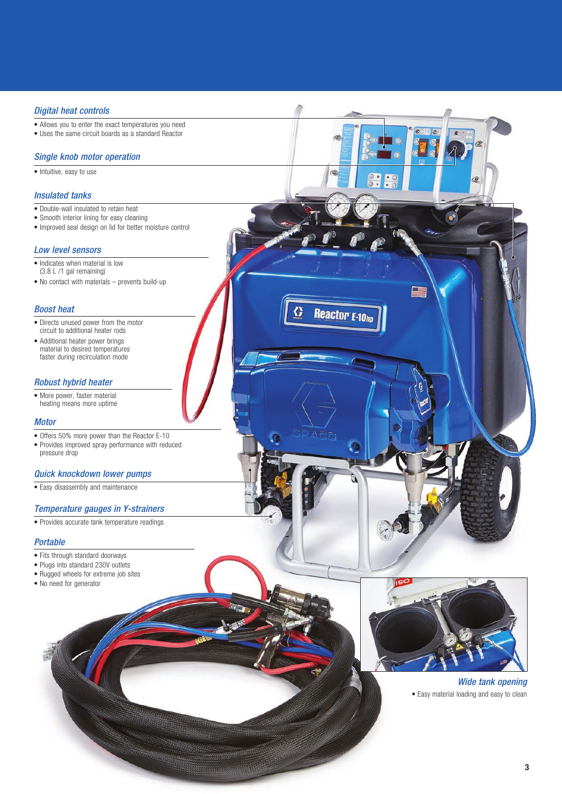#### *Digital heat controls*

- Allows you to enter the exact temperatures you need
- Uses the same circuit boards as a standard Reactor

#### *Single knob motor operation*

• Intuitive, easy to use

#### *Insulated tanks*

- Double-wall insulated to retain heat
- Smooth interior lining for easy cleaning
- Improved seal design on lid for better moisture control

#### *Low level sensors*

- Indicates when material is low (3.8 L /1 gal remaining)
- No contact with materials prevents build-up

#### *Boost heat*

- Directs unused power from the motor circuit to additional heater rods
- Additional heater power brings material to desired temperatures faster during recirculation mode

#### *Robust hybrid heater*

• More power, faster material heating means more uptime

#### *Motor*

- Offers 50% more power than the Reactor E-10
- Provides improved spray performance with reduced pressure drop

#### *Quick knockdown lower pumps*

• Easy disassembly and maintenance

#### *Temperature gauges in Y-strainers*

• Provides accurate tank temperature readings

#### *Portable*

- Fits through standard doorways
- Plugs into standard 230V outlets
- Rugged wheels for extreme job sites
- No need for generator



ä

**Reactor E-10h** 

#### *Wide tank opening* • Easy material loading and easy to clean